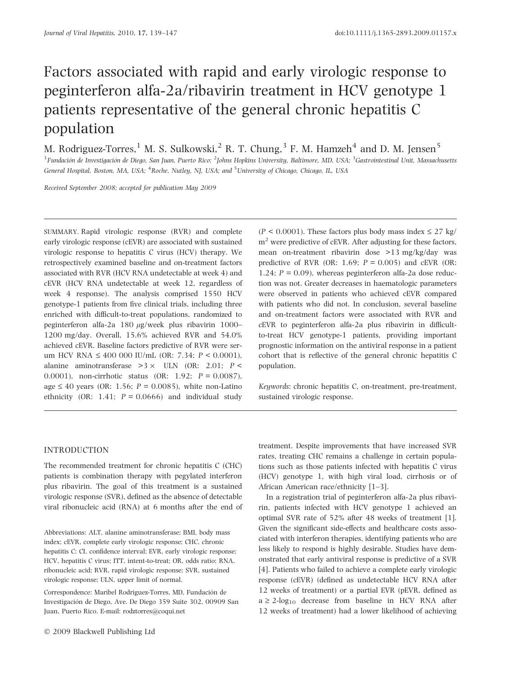# Factors associated with rapid and early virologic response to peginterferon alfa-2a/ribavirin treatment in HCV genotype 1 patients representative of the general chronic hepatitis C population

M. Rodriguez-Torres,<sup>1</sup> M. S. Sulkowski,<sup>2</sup> R. T. Chung,<sup>3</sup> F. M. Hamzeh<sup>4</sup> and D. M. Jensen<sup>5</sup>

 ${}^{1}$ Fundación de Investigación de Diego, San Juan, Puerto Rico;  ${}^{2}$ Johns Hopkins University, Baltimore, MD, USA;  ${}^{3}$ Gastrointestinal Unit, Massachusetts General Hospital, Boston, MA, USA; <sup>4</sup>Roche, Nutley, NJ, USA; and <sup>5</sup>University of Chicago, Chicago, IL, USA

Received September 2008; accepted for publication May 2009

SUMMARY. Rapid virologic response (RVR) and complete early virologic response (cEVR) are associated with sustained virologic response to hepatitis C virus (HCV) therapy. We retrospectively examined baseline and on-treatment factors associated with RVR (HCV RNA undetectable at week 4) and cEVR (HCV RNA undetectable at week 12, regardless of week 4 response). The analysis comprised 1550 HCV genotype-1 patients from five clinical trials, including three enriched with difficult-to-treat populations, randomized to peginterferon alfa-2a 180  $\mu$ g/week plus ribavirin 1000– 1200 mg/day. Overall, 15.6% achieved RVR and 54.0% achieved cEVR. Baseline factors predictive of RVR were serum HCV RNA  $\leq 400$  000 IU/mL (OR: 7.34;  $P < 0.0001$ ), alanine aminotransferase  $>3 \times$  ULN (OR: 2.01; P < 0.0001), non-cirrhotic status (OR: 1.92; P = 0.0087), age  $\leq 40$  years (OR: 1.56;  $P = 0.0085$ ), white non-Latino ethnicity (OR: 1.41;  $P = 0.0666$ ) and individual study

 $(P < 0.0001)$ . These factors plus body mass index  $\leq 27$  kg/  $m<sup>2</sup>$  were predictive of cEVR. After adjusting for these factors, mean on-treatment ribavirin dose >13 mg/kg/day was predictive of RVR (OR: 1.69;  $P = 0.005$ ) and cEVR (OR: 1.24;  $P = 0.09$ ), whereas peginterferon alfa-2a dose reduction was not. Greater decreases in haematologic parameters were observed in patients who achieved cEVR compared with patients who did not. In conclusion, several baseline and on-treatment factors were associated with RVR and cEVR to peginterferon alfa-2a plus ribavirin in difficultto-treat HCV genotype-1 patients, providing important prognostic information on the antiviral response in a patient cohort that is reflective of the general chronic hepatitis C population.

Keywords: chronic hepatitis C, on-treatment, pre-treatment, sustained virologic response.

## INTRODUCTION

The recommended treatment for chronic hepatitis C (CHC) patients is combination therapy with pegylated interferon plus ribavirin. The goal of this treatment is a sustained virologic response (SVR), defined as the absence of detectable viral ribonucleic acid (RNA) at 6 months after the end of

Abbreviations: ALT, alanine aminotransferase; BMI, body mass index; cEVR, complete early virologic response; CHC, chronic hepatitis C; CI, confidence interval; EVR, early virologic response; HCV, hepatitis C virus; ITT, intent-to-treat; OR, odds ratio; RNA, ribonucleic acid; RVR, rapid virologic response; SVR, sustained virologic response; ULN, upper limit of normal.

Correspondence: Maribel Rodriguez-Torres, MD, Fundación de Investigación de Diego, Ave. De Diego 359 Suite 302, 00909 San Juan, Puerto Rico. E-mail: rodztorres@coqui.net

treatment. Despite improvements that have increased SVR rates, treating CHC remains a challenge in certain populations such as those patients infected with hepatitis C virus (HCV) genotype 1, with high viral load, cirrhosis or of African American race/ethnicity [1–3].

In a registration trial of peginterferon alfa-2a plus ribavirin, patients infected with HCV genotype 1 achieved an optimal SVR rate of 52% after 48 weeks of treatment [1]. Given the significant side-effects and healthcare costs associated with interferon therapies, identifying patients who are less likely to respond is highly desirable. Studies have demonstrated that early antiviral response is predictive of a SVR [4]. Patients who failed to achieve a complete early virologic response (cEVR) (defined as undetectable HCV RNA after 12 weeks of treatment) or a partial EVR (pEVR, defined as  $a \ge 2$ -log<sub>10</sub> decrease from baseline in HCV RNA after 12 weeks of treatment) had a lower likelihood of achieving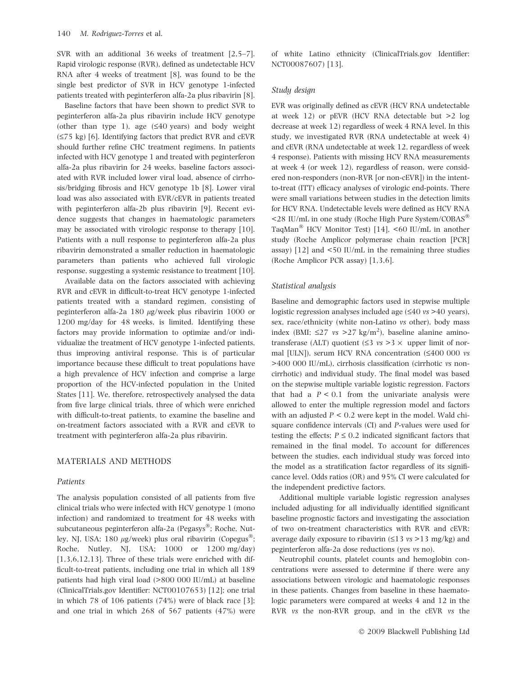SVR with an additional 36 weeks of treatment [2,5–7]. Rapid virologic response (RVR), defined as undetectable HCV RNA after 4 weeks of treatment [8], was found to be the single best predictor of SVR in HCV genotype 1-infected patients treated with peginterferon alfa-2a plus ribavirin [8].

Baseline factors that have been shown to predict SVR to peginterferon alfa-2a plus ribavirin include HCV genotype (other than type 1), age  $(≤40$  years) and body weight  $(\leq 75 \text{ kg})$  [6]. Identifying factors that predict RVR and cEVR should further refine CHC treatment regimens. In patients infected with HCV genotype 1 and treated with peginterferon alfa-2a plus ribavirin for 24 weeks, baseline factors associated with RVR included lower viral load, absence of cirrhosis/bridging fibrosis and HCV genotype 1b [8]. Lower viral load was also associated with EVR/cEVR in patients treated with peginterferon alfa-2b plus ribavirin [9]. Recent evidence suggests that changes in haematologic parameters may be associated with virologic response to therapy [10]. Patients with a null response to peginterferon alfa-2a plus ribavirin demonstrated a smaller reduction in haematologic parameters than patients who achieved full virologic response, suggesting a systemic resistance to treatment [10].

Available data on the factors associated with achieving RVR and cEVR in difficult-to-treat HCV genotype 1-infected patients treated with a standard regimen, consisting of peginterferon alfa-2a 180  $\mu$ g/week plus ribavirin 1000 or 1200 mg/day for 48 weeks, is limited. Identifying these factors may provide information to optimize and/or individualize the treatment of HCV genotype 1-infected patients, thus improving antiviral response. This is of particular importance because these difficult to treat populations have a high prevalence of HCV infection and comprise a large proportion of the HCV-infected population in the United States [11]. We, therefore, retrospectively analysed the data from five large clinical trials, three of which were enriched with difficult-to-treat patients, to examine the baseline and on-treatment factors associated with a RVR and cEVR to treatment with peginterferon alfa-2a plus ribavirin.

## MATERIALS AND METHODS

#### Patients

The analysis population consisted of all patients from five clinical trials who were infected with HCV genotype 1 (mono infection) and randomized to treatment for 48 weeks with subcutaneous peginterferon alfa-2a (Pegasys®; Roche, Nutley, NJ, USA; 180  $\mu$ g/week) plus oral ribavirin (Copegus<sup>®</sup>; Roche, Nutley, NJ, USA; 1000 or 1200 mg/day) [1,3,6,12,13]. Three of these trials were enriched with difficult-to-treat patients, including one trial in which all 189 patients had high viral load (>800 000 IU/mL) at baseline (ClinicalTrials.gov Identifier: NCT00107653) [12]; one trial in which 78 of 106 patients (74%) were of black race [3]; and one trial in which 268 of 567 patients (47%) were of white Latino ethnicity (ClinicalTrials.gov Identifier: NCT00087607) [13].

#### Studu desian

EVR was originally defined as cEVR (HCV RNA undetectable at week 12) or pEVR (HCV RNA detectable but >2 log decrease at week 12) regardless of week 4 RNA level. In this study, we investigated RVR (RNA undetectable at week 4) and cEVR (RNA undetectable at week 12, regardless of week 4 response). Patients with missing HCV RNA measurements at week 4 (or week 12), regardless of reason, were considered non-responders (non-RVR [or non-cEVR]) in the intentto-treat (ITT) efficacy analyses of virologic end-points. There were small variations between studies in the detection limits for HCV RNA. Undetectable levels were defined as HCV RNA  $\leq$ 28 IU/mL in one study (Roche High Pure System/COBAS<sup>®</sup> TaqMan<sup>®</sup> HCV Monitor Test) [14], <60 IU/mL in another study (Roche Amplicor polymerase chain reaction [PCR] assay) [12] and <50 IU/mL in the remaining three studies (Roche Amplicor PCR assay) [1,3,6].

#### Statistical analysis

Baseline and demographic factors used in stepwise multiple logistic regression analyses included age  $(\leq 40 \text{ vs } > 40 \text{ years})$ , sex, race/ethnicity (white non-Latino vs other), body mass index (BMI;  $\leq$ 27 vs > 27 kg/m<sup>2</sup>), baseline alanine aminotransferase (ALT) quotient ( $\leq$ 3 *vs* > 3  $\times$  upper limit of normal [ULN]), serum HCV RNA concentration  $(\leq 400\ 000\ vs$ >400 000 IU/mL), cirrhosis classification (cirrhotic vs noncirrhotic) and individual study. The final model was based on the stepwise multiple variable logistic regression. Factors that had a  $P < 0.1$  from the univariate analysis were allowed to enter the multiple regression model and factors with an adjusted  $P < 0.2$  were kept in the model. Wald chisquare confidence intervals (CI) and P-values were used for testing the effects;  $P \leq 0.2$  indicated significant factors that remained in the final model. To account for differences between the studies, each individual study was forced into the model as a stratification factor regardless of its significance level. Odds ratios (OR) and 95% CI were calculated for the independent predictive factors.

Additional multiple variable logistic regression analyses included adjusting for all individually identified significant baseline prognostic factors and investigating the association of two on-treatment characteristics with RVR and cEVR: average daily exposure to ribavirin  $(\leq 13 \text{ vs } > 13 \text{ mg/kg})$  and peginterferon alfa-2a dose reductions (yes vs no).

Neutrophil counts, platelet counts and hemoglobin concentrations were assessed to determine if there were any associations between virologic and haematologic responses in these patients. Changes from baseline in these haematologic parameters were compared at weeks 4 and 12 in the RVR vs the non-RVR group, and in the cEVR vs the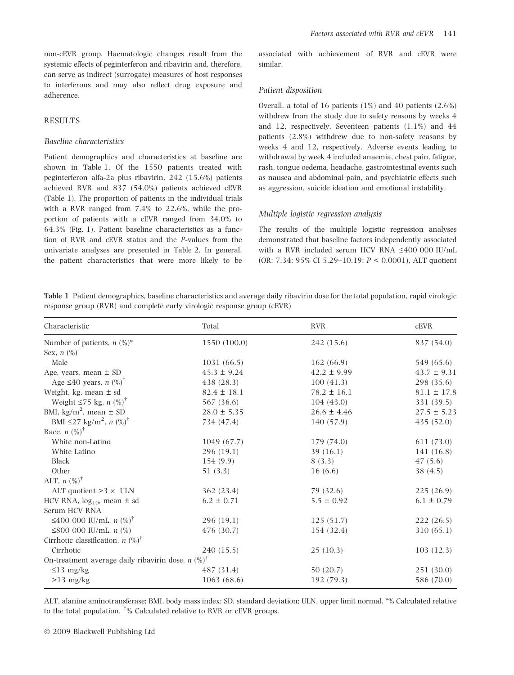non-cEVR group. Haematologic changes result from the systemic effects of peginterferon and ribavirin and, therefore, can serve as indirect (surrogate) measures of host responses to interferons and may also reflect drug exposure and adherence.

# RESULTS

#### Baseline characteristics

Patient demographics and characteristics at baseline are shown in Table 1. Of the 1550 patients treated with peginterferon alfa-2a plus ribavirin, 242 (15.6%) patients achieved RVR and 837 (54.0%) patients achieved cEVR (Table 1). The proportion of patients in the individual trials with a RVR ranged from 7.4% to 22.6%, while the proportion of patients with a cEVR ranged from 34.0% to 64.3% (Fig. 1). Patient baseline characteristics as a function of RVR and cEVR status and the P-values from the univariate analyses are presented in Table 2. In general, the patient characteristics that were more likely to be associated with achievement of RVR and cEVR were similar.

#### Patient disposition

Overall, a total of 16 patients (1%) and 40 patients (2.6%) withdrew from the study due to safety reasons by weeks 4 and 12, respectively. Seventeen patients (1.1%) and 44 patients (2.8%) withdrew due to non-safety reasons by weeks 4 and 12, respectively. Adverse events leading to withdrawal by week 4 included anaemia, chest pain, fatigue, rash, tongue oedema, headache, gastrointestinal events such as nausea and abdominal pain, and psychiatric effects such as aggression, suicide ideation and emotional instability.

## Multiple logistic regression analysis

The results of the multiple logistic regression analyses demonstrated that baseline factors independently associated with a RVR included serum HCV RNA £400 000 IU/mL (OR: 7.34; 95% CI 5.29–10.19; P < 0.0001), ALT quotient

Table 1 Patient demographics, baseline characteristics and average daily ribavirin dose for the total population, rapid virologic response group (RVR) and complete early virologic response group (cEVR)

| Characteristic                                                  | Total           | <b>RVR</b>      | <b>cEVR</b>     |
|-----------------------------------------------------------------|-----------------|-----------------|-----------------|
| Number of patients, $n$ (%)*                                    | 1550 (100.0)    | 242 (15.6)      | 837 (54.0)      |
| Sex, $n \ (\%)^{\dagger}$                                       |                 |                 |                 |
| Male                                                            | 1031 (66.5)     | 162(66.9)       | 549 (65.6)      |
| Age, years, mean $\pm$ SD                                       | $45.3 \pm 9.24$ | $42.2 \pm 9.99$ | $43.7 \pm 9.31$ |
| Age $\leq 40$ years, n $\left(\% \right)^{\dagger}$             | 438 (28.3)      | 100(41.3)       | 298 (35.6)      |
| Weight, kg, mean $\pm$ sd                                       | $82.4 \pm 18.1$ | $78.2 \pm 16.1$ | $81.1 \pm 17.8$ |
| Weight $\leq 75$ kg, n $(\%)^{\dagger}$                         | 567 (36.6)      | 104(43.0)       | 331 (39.5)      |
| BMI, kg/m <sup>2</sup> , mean $\pm$ SD                          | $28.0 \pm 5.35$ | $26.6 \pm 4.46$ | $27.5 \pm 5.23$ |
| BMI ≤27 kg/m <sup>2</sup> , n $(\%)^{\dagger}$                  | 734 (47.4)      | 140 (57.9)      | 435(52.0)       |
| Race, $n$ $(\%)^{\dagger}$                                      |                 |                 |                 |
| White non-Latino                                                | 1049 (67.7)     | 179 (74.0)      | 611 (73.0)      |
| White Latino                                                    | 296 (19.1)      | 39 $(16.1)$     | 141 (16.8)      |
| Black                                                           | 154 (9.9)       | 8(3.3)          | 47(5.6)         |
| Other                                                           | 51(3.3)         | 16(6.6)         | 38(4.5)         |
| ALT, $n$ $(\%)^{\dagger}$                                       |                 |                 |                 |
| ALT quotient $>3 \times$ ULN                                    | 362 (23.4)      | 79 (32.6)       | 225(26.9)       |
| HCV RNA, $log_{10}$ , mean $\pm$ sd                             | $6.2 \pm 0.71$  | $5.5 \pm 0.92$  | $6.1 \pm 0.79$  |
| Serum HCV RNA                                                   |                 |                 |                 |
| ≤400 000 IU/mL, $n$ (%) <sup>†</sup>                            | 296 (19.1)      | 125(51.7)       | 222(26.5)       |
| ≤800 000 IU/mL, $n$ (%)                                         | 476 (30.7)      | 154 (32.4)      | 310 (65.1)      |
| Cirrhotic classification, $n$ (%) <sup>†</sup>                  |                 |                 |                 |
| Cirrhotic                                                       | 240 (15.5)      | 25(10.3)        | 103(12.3)       |
| On-treatment average daily ribavirin dose, $n$ (%) <sup>†</sup> |                 |                 |                 |
| $\leq$ 13 mg/kg                                                 | 487 (31.4)      | 50(20.7)        | 251 (30.0)      |
| $>13$ mg/kg                                                     | 1063(68.6)      | 192 (79.3)      | 586 (70.0)      |

ALT, alanine aminotransferase; BMI, body mass index; SD, standard deviation; ULN, upper limit normal. \*% Calculated relative to the total population.  $\phi$  Calculated relative to RVR or cEVR groups.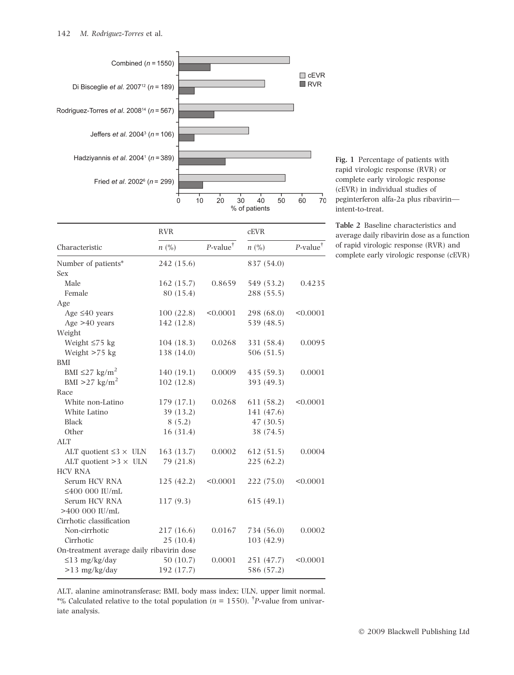

|                                           | <b>RVR</b> | <b>cEVR</b>             |            |                         |  |
|-------------------------------------------|------------|-------------------------|------------|-------------------------|--|
| Characteristic                            | n (%)      | $P$ -value <sup>†</sup> | n (%)      | $P$ -value <sup>†</sup> |  |
| Number of patients*                       | 242 (15.6) |                         | 837 (54.0) |                         |  |
| Sex                                       |            |                         |            |                         |  |
| Male                                      | 162 (15.7) | 0.8659                  | 549 (53.2) | 0.4235                  |  |
| Female                                    | 80 (15.4)  |                         | 288 (55.5) |                         |  |
| Age                                       |            |                         |            |                         |  |
| Age $\leq 40$ years                       | 100(22.8)  | < 0.0001                | 298 (68.0) | < 0.0001                |  |
| Age $>40$ years                           | 142 (12.8) |                         | 539 (48.5) |                         |  |
| Weight                                    |            |                         |            |                         |  |
| Weight $\leq 75$ kg                       | 104(18.3)  | 0.0268                  | 331 (58.4) | 0.0095                  |  |
| Weight $>75$ kg                           | 138 (14.0) |                         | 506 (51.5) |                         |  |
| <b>BMI</b>                                |            |                         |            |                         |  |
| BMI $\leq$ 27 kg/m <sup>2</sup>           | 140(19.1)  | 0.0009                  | 435 (59.3) | 0.0001                  |  |
| BMI > 27 kg/m <sup>2</sup>                | 102(12.8)  |                         | 393 (49.3) |                         |  |
| Race                                      |            |                         |            |                         |  |
| White non-Latino                          | 179 (17.1) | 0.0268                  | 611 (58.2) | < 0.0001                |  |
| White Latino                              | 39 (13.2)  |                         | 141 (47.6) |                         |  |
| <b>Black</b>                              | 8(5.2)     |                         | 47 (30.5)  |                         |  |
| Other                                     | 16(31.4)   |                         | 38 (74.5)  |                         |  |
| <b>ALT</b>                                |            |                         |            |                         |  |
| ALT quotient $\leq 3 \times$ ULN          | 163 (13.7) | 0.0002                  | 612(51.5)  | 0.0004                  |  |
| ALT quotient $>3 \times$ ULN              | 79 (21.8)  |                         | 225(62.2)  |                         |  |
| <b>HCV RNA</b>                            |            |                         |            |                         |  |
| Serum HCV RNA                             | 125(42.2)  | < 0.0001                | 222 (75.0) | < 0.0001                |  |
| $\leq$ 400 000 IU/mL                      |            |                         |            |                         |  |
| Serum HCV RNA                             | 117(9.3)   |                         | 615(49.1)  |                         |  |
| $>400$ 000 IU/mL                          |            |                         |            |                         |  |
| Cirrhotic classification                  |            |                         |            |                         |  |
| Non-cirrhotic                             | 217 (16.6) | 0.0167                  | 734 (56.0) | 0.0002                  |  |
| Cirrhotic                                 | 25(10.4)   |                         | 103(42.9)  |                         |  |
| On-treatment average daily ribavirin dose |            |                         |            |                         |  |
| $\leq$ 13 mg/kg/day                       | 50(10.7)   | 0.0001                  | 251 (47.7) | < 0.0001                |  |
| $>13$ mg/kg/day                           | 192 (17.7) |                         | 586 (57.2) |                         |  |
|                                           |            |                         |            |                         |  |

Fig. 1 Percentage of patients with rapid virologic response (RVR) or complete early virologic response (cEVR) in individual studies of peginterferon alfa-2a plus ribavirin intent-to-treat.

Table 2 Baseline characteristics and average daily ribavirin dose as a function of rapid virologic response (RVR) and complete early virologic response (cEVR)

ALT, alanine aminotransferase; BMI, body mass index; ULN, upper limit normal. \*% Calculated relative to the total population ( $n = 1550$ ). <sup>†</sup>P-value from univariate analysis.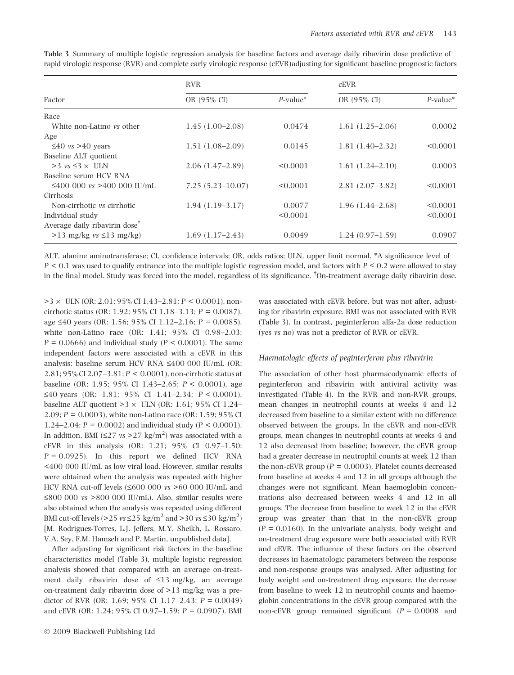|                                           | <b>RVR</b>           | <b>cEVR</b> |                     |             |  |
|-------------------------------------------|----------------------|-------------|---------------------|-------------|--|
| Factor                                    | OR (95% CI)          | $P$ -value* | OR (95% CI)         | $P$ -value* |  |
| Race                                      |                      |             |                     |             |  |
| White non-Latino vs other                 | $1.45(1.00-2.08)$    | 0.0474      | $1.61(1.25-2.06)$   | 0.0002      |  |
| Age                                       |                      |             |                     |             |  |
| $\leq 40$ vs > 40 years                   | $1.51(1.08-2.09)$    | 0.0145      | $1.81(1.40-2.32)$   | < 0.0001    |  |
| Baseline ALT quotient                     |                      |             |                     |             |  |
| $>3$ vs $\leq 3 \times$ ULN               | $2.06(1.47-2.89)$    | < 0.0001    | $1.61(1.24 - 2.10)$ | 0.0003      |  |
| Baseline serum HCV RNA                    |                      |             |                     |             |  |
| $\leq 400$ 000 ys >400 000 IU/mL          | $7.25(5.23 - 10.07)$ | < 0.0001    | $2.81(2.07-3.82)$   | < 0.0001    |  |
| Cirrhosis                                 |                      |             |                     |             |  |
| Non-cirrhotic vs cirrhotic                | $1.94(1.19-3.17)$    | 0.0077      | $1.96(1.44 - 2.68)$ | < 0.0001    |  |
| Individual study                          |                      | < 0.0001    |                     | < 0.0001    |  |
| Average daily ribavirin dose <sup>†</sup> |                      |             |                     |             |  |
| $>13$ mg/kg vs $\leq 13$ mg/kg)           | $1.69(1.17-2.43)$    | 0.0049      | $1.24(0.97-1.59)$   | 0.0907      |  |

Table 3 Summary of multiple logistic regression analysis for baseline factors and average daily ribavirin dose predictive of rapid virologic response (RVR) and complete early virologic response (cEVR)adjusting for significant baseline prognostic factors

ALT, alanine aminotransferase; CI, confidence intervals; OR, odds ratios; ULN, upper limit normal. \*A significance level of  $P \le 0.1$  was used to qualify entrance into the multiple logistic regression model, and factors with  $P \le 0.2$  were allowed to stay in the final model. Study was forced into the model, regardless of its significance. <sup>†</sup>On-treatment average daily ribavirin dose.

 $>3 \times$  ULN (OR: 2.01; 95% CI 1.43–2.81; P < 0.0001), noncirrhotic status (OR: 1.92; 95% CI 1.18–3.13; P = 0.0087), age  $\leq 40$  years (OR: 1.56; 95% CI 1.12–2.16;  $P = 0.0085$ ). white non-Latino race (OR: 1.41; 95% CI 0.98–2.03;  $P = 0.0666$ ) and individual study ( $P < 0.0001$ ). The same independent factors were associated with a cEVR in this analysis: baseline serum HCV RNA £400 000 IU/mL (OR: 2.81; 95% CI 2.07–3.81; P < 0.0001), non-cirrhotic status at baseline (OR: 1.95; 95% CI 1.43–2.65; P < 0.0001), age  $\leq$ 40 years (OR: 1.81; 95% CI 1.41-2.34; P < 0.0001), baseline ALT quotient  $>3 \times$  ULN (OR: 1.61; 95% CI 1.24– 2.09; P = 0.0003), white non-Latino race (OR: 1.59; 95% CI 1.24–2.04;  $P = 0.0002$ ) and individual study ( $P \le 0.0001$ ). In addition, BMI  $(\leq 27 \text{ vs } > 27 \text{ kg/m}^2)$  was associated with a cEVR in this analysis (OR: 1.21; 95% CI 0.97–1.50;  $P = 0.0925$ ). In this report we defined HCV RNA <400 000 IU/mL as low viral load. However, similar results were obtained when the analysis was repeated with higher HCV RNA cut-off levels  $(\leq 600\ 000\ vs\ > 60\ 000\ IU/mL$  and  $\leq 800$  000 vs  $> 800$  000 IU/mL). Also, similar results were also obtained when the analysis was repeated using different BMI cut-off levels (>25  $vs \le 25$  kg/m<sup>2</sup> and >30  $vs \le 30$  kg/m<sup>2</sup>) [M. Rodriguez-Torres, L.J. Jeffers, M.Y. Sheikh, L. Rossaro, V.A. Sey, F.M. Hamzeh and P. Martin, unpublished data].

After adjusting for significant risk factors in the baseline characteristics model (Table 3), multiple logistic regression analysis showed that compared with an average on-treatment daily ribavirin dose of  $\leq$ 13 mg/kg, an average on-treatment daily ribavirin dose of >13 mg/kg was a predictor of RVR (OR: 1.69; 95% CI 1.17–2.43;  $P = 0.0049$ ) and cEVR (OR: 1.24; 95% CI 0.97–1.59;  $P = 0.0907$ ). BMI

was associated with cEVR before, but was not after, adjusting for ribavirin exposure. BMI was not associated with RVR (Table 3). In contrast, peginterferon alfa-2a dose reduction (yes vs no) was not a predictor of RVR or cEVR.

#### Haematologic effects of peginterferon plus ribavirin

The association of other host pharmacodynamic effects of peginterferon and ribavirin with antiviral activity was investigated (Table 4). In the RVR and non-RVR groups, mean changes in neutrophil counts at weeks 4 and 12 decreased from baseline to a similar extent with no difference observed between the groups. In the cEVR and non-cEVR groups, mean changes in neutrophil counts at weeks 4 and 12 also decreased from baseline; however, the cEVR group had a greater decrease in neutrophil counts at week 12 than the non-cEVR group ( $P = 0.0003$ ). Platelet counts decreased from baseline at weeks 4 and 12 in all groups although the changes were not significant. Mean haemoglobin concentrations also decreased between weeks 4 and 12 in all groups. The decrease from baseline to week 12 in the cEVR group was greater than that in the non-cEVR group  $(P = 0.0160)$ . In the univariate analysis, body weight and on-treatment drug exposure were both associated with RVR and cEVR. The influence of these factors on the observed decreases in haematologic parameters between the response and non-response groups was analysed. After adjusting for body weight and on-treatment drug exposure, the decrease from baseline to week 12 in neutrophil counts and haemoglobin concentrations in the cEVR group compared with the non-cEVR group remained significant  $(P = 0.0008$  and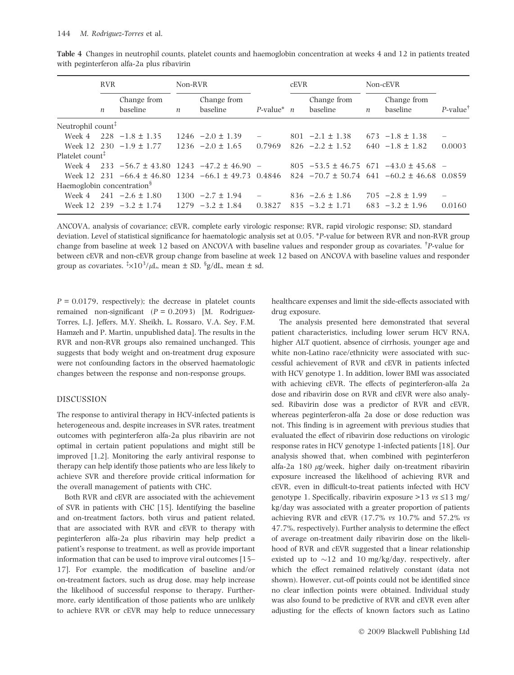|                                                 | <b>RVR</b>       |                                                     | Non-RVR          |                                               |                                  | <b>cEVR</b> |                                               | Non-cEVR         |                                             |                         |
|-------------------------------------------------|------------------|-----------------------------------------------------|------------------|-----------------------------------------------|----------------------------------|-------------|-----------------------------------------------|------------------|---------------------------------------------|-------------------------|
|                                                 | $\boldsymbol{n}$ | Change from<br>baseline                             | $\boldsymbol{n}$ | Change from<br>baseline                       | $P$ -value <sup>*</sup> <i>n</i> |             | Change from<br>baseline                       | $\boldsymbol{n}$ | Change from<br>baseline                     | $P$ -value <sup>†</sup> |
| Neutrophil count <sup>#</sup>                   |                  |                                                     |                  |                                               |                                  |             |                                               |                  |                                             |                         |
| Week 4                                          |                  | $228 - 1.8 \pm 1.35$                                |                  | $1246 - 2.0 \pm 1.39$                         |                                  |             | $801 -2.1 \pm 1.38$                           |                  | $673 -1.8 \pm 1.38$                         |                         |
|                                                 |                  | Week 12 230 $-1.9 \pm 1.77$                         |                  | $1236 - 2.0 \pm 1.65$                         | 0.7969                           |             | $826 - 2.2 \pm 1.52$                          |                  | $640 -1.8 \pm 1.82$                         | 0.0003                  |
| Platelet count <sup><math>\ddagger</math></sup> |                  |                                                     |                  |                                               |                                  |             |                                               |                  |                                             |                         |
| Week 4                                          |                  | $233 - 56.7 \pm 43.80$ 1243 $-47.2 \pm 46.90$ -     |                  |                                               |                                  |             | $805 -53.5 \pm 46.75$ 671 $-43.0 \pm 45.68$ - |                  |                                             |                         |
|                                                 |                  | Week 12 231 $-66.4 \pm 46.80$                       |                  | $1234 -66.1 \pm 49.73$ 0.4846                 |                                  |             | $824 - 70.7 \pm 50.74$ 641                    |                  | $-60.2 \pm 46.68$ 0.0859                    |                         |
| Haemoglobin concentration <sup>§</sup>          |                  |                                                     |                  |                                               |                                  |             |                                               |                  |                                             |                         |
| Week 4                                          |                  | $241 - 2.6 \pm 1.80$<br>Week 12 239 $-3.2 \pm 1.74$ |                  | $1300 -2.7 \pm 1.94$<br>$1279 - 3.2 \pm 1.84$ | 0.3827                           |             | $836 - 2.6 \pm 1.86$<br>$835 - 3.2 \pm 1.71$  |                  | $705 -2.8 \pm 1.99$<br>$683 - 3.2 \pm 1.96$ | -<br>0.0160             |

Table 4 Changes in neutrophil counts, platelet counts and haemoglobin concentration at weeks 4 and 12 in patients treated with peginterferon alfa-2a plus ribavirin

ANCOVA, analysis of covariance; cEVR, complete early virologic response; RVR, rapid virologic response; SD, standard deviation. Level of statistical significance for haematologic analysis set at 0.05. \*P-value for between RVR and non-RVR group change from baseline at week 12 based on ANCOVA with baseline values and responder group as covariates. <sup>†</sup>P-value for between cEVR and non-cEVR group change from baseline at week 12 based on ANCOVA with baseline values and responder group as covariates.  $\frac{1}{2} \times 10^3 / \mu L$ , mean  $\pm$  SD.  $\frac{1}{2}$ g/dL, mean  $\pm$  sd.

 $P = 0.0179$ , respectively); the decrease in platelet counts remained non-significant  $(P = 0.2093)$  [M. Rodriguez-Torres, L.J. Jeffers, M.Y. Sheikh, L. Rossaro, V.A. Sey, F.M. Hamzeh and P. Martin, unpublished data]. The results in the RVR and non-RVR groups also remained unchanged. This suggests that body weight and on-treatment drug exposure were not confounding factors in the observed haematologic changes between the response and non-response groups.

#### DISCUSSION

The response to antiviral therapy in HCV-infected patients is heterogeneous and, despite increases in SVR rates, treatment outcomes with peginterferon alfa-2a plus ribavirin are not optimal in certain patient populations and might still be improved [1,2]. Monitoring the early antiviral response to therapy can help identify those patients who are less likely to achieve SVR and therefore provide critical information for the overall management of patients with CHC.

Both RVR and cEVR are associated with the achievement of SVR in patients with CHC [15]. Identifying the baseline and on-treatment factors, both virus and patient related, that are associated with RVR and cEVR to therapy with peginterferon alfa-2a plus ribavirin may help predict a patient's response to treatment, as well as provide important information that can be used to improve viral outcomes [15– 17]. For example, the modification of baseline and/or on-treatment factors, such as drug dose, may help increase the likelihood of successful response to therapy. Furthermore, early identification of those patients who are unlikely to achieve RVR or cEVR may help to reduce unnecessary healthcare expenses and limit the side-effects associated with drug exposure.

The analysis presented here demonstrated that several patient characteristics, including lower serum HCV RNA, higher ALT quotient, absence of cirrhosis, younger age and white non-Latino race/ethnicity were associated with successful achievement of RVR and cEVR in patients infected with HCV genotype 1. In addition, lower BMI was associated with achieving cEVR. The effects of peginterferon-alfa 2a dose and ribavirin dose on RVR and cEVR were also analysed. Ribavirin dose was a predictor of RVR and cEVR, whereas peginterferon-alfa 2a dose or dose reduction was not. This finding is in agreement with previous studies that evaluated the effect of ribavirin dose reductions on virologic response rates in HCV genotype 1-infected patients [18]. Our analysis showed that, when combined with peginterferon alfa-2a 180  $\mu$ g/week, higher daily on-treatment ribavirin exposure increased the likelihood of achieving RVR and cEVR, even in difficult-to-treat patients infected with HCV genotype 1. Specifically, ribavirin exposure  $>13$  vs  $\leq 13$  mg/ kg/day was associated with a greater proportion of patients achieving RVR and cEVR (17.7% vs 10.7% and 57.2% vs 47.7%, respectively). Further analysis to determine the effect of average on-treatment daily ribavirin dose on the likelihood of RVR and cEVR suggested that a linear relationship existed up to  $\sim$ 12 and 10 mg/kg/day, respectively, after which the effect remained relatively constant (data not shown). However, cut-off points could not be identified since no clear inflection points were obtained. Individual study was also found to be predictive of RVR and cEVR even after adjusting for the effects of known factors such as Latino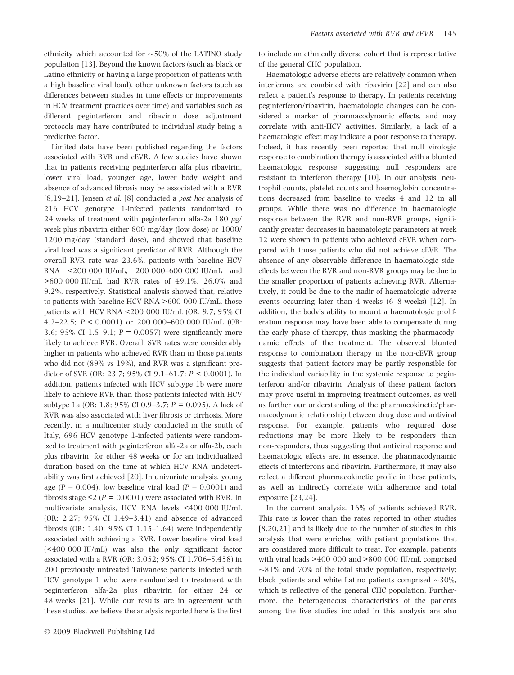ethnicity which accounted for  $\sim$ 50% of the LATINO study population [13]. Beyond the known factors (such as black or Latino ethnicity or having a large proportion of patients with a high baseline viral load), other unknown factors (such as differences between studies in time effects or improvements in HCV treatment practices over time) and variables such as different peginterferon and ribavirin dose adjustment protocols may have contributed to individual study being a predictive factor.

Limited data have been published regarding the factors associated with RVR and cEVR. A few studies have shown that in patients receiving peginterferon alfa plus ribavirin, lower viral load, younger age, lower body weight and absence of advanced fibrosis may be associated with a RVR [8,19–21]. Jensen et al. [8] conducted a post hoc analysis of 216 HCV genotype 1-infected patients randomized to 24 weeks of treatment with peginterferon alfa-2a 180  $\mu$ g/ week plus ribavirin either 800 mg/day (low dose) or 1000/ 1200 mg/day (standard dose), and showed that baseline viral load was a significant predictor of RVR. Although the overall RVR rate was 23.6%, patients with baseline HCV RNA <200 000 IU/mL, 200 000–600 000 IU/mL and >600 000 IU/mL had RVR rates of 49.1%, 26.0% and 9.2%, respectively. Statistical analysis showed that, relative to patients with baseline HCV RNA >600 000 IU/mL, those patients with HCV RNA <200 000 IU/mL (OR: 9.7; 95% CI 4.2–22.5;  $P < 0.0001$  or 200 000–600 000 IU/mL (OR: 3.6; 95% CI 1.5–9.1;  $P = 0.0057$ ) were significantly more likely to achieve RVR. Overall, SVR rates were considerably higher in patients who achieved RVR than in those patients who did not (89% vs 19%), and RVR was a significant predictor of SVR (OR: 23.7; 95% CI 9.1–61.7; P < 0.0001). In addition, patients infected with HCV subtype 1b were more likely to achieve RVR than those patients infected with HCV subtype 1a (OR: 1.8; 95% CI 0.9–3.7; P = 0.095). A lack of RVR was also associated with liver fibrosis or cirrhosis. More recently, in a multicenter study conducted in the south of Italy, 696 HCV genotype 1-infected patients were randomized to treatment with peginterferon alfa-2a or alfa-2b, each plus ribavirin, for either 48 weeks or for an individualized duration based on the time at which HCV RNA undetectability was first achieved [20]. In univariate analysis, young age ( $P = 0.004$ ), low baseline viral load ( $P = 0.0001$ ) and fibrosis stage  $\leq$  2 (P = 0.0001) were associated with RVR. In multivariate analysis, HCV RNA levels <400 000 IU/mL (OR: 2.27; 95% CI 1.49–3.41) and absence of advanced fibrosis (OR: 1.40;  $95\%$  CI 1.15–1.64) were independently associated with achieving a RVR. Lower baseline viral load (<400 000 IU/mL) was also the only significant factor associated with a RVR (OR: 3.052; 95% CI 1.706–5.458) in 200 previously untreated Taiwanese patients infected with HCV genotype 1 who were randomized to treatment with peginterferon alfa-2a plus ribavirin for either 24 or 48 weeks [21]. While our results are in agreement with these studies, we believe the analysis reported here is the first

to include an ethnically diverse cohort that is representative of the general CHC population.

Haematologic adverse effects are relatively common when interferons are combined with ribavirin [22] and can also reflect a patient's response to therapy. In patients receiving peginterferon/ribavirin, haematologic changes can be considered a marker of pharmacodynamic effects, and may correlate with anti-HCV activities. Similarly, a lack of a haematologic effect may indicate a poor response to therapy. Indeed, it has recently been reported that null virologic response to combination therapy is associated with a blunted haematologic response, suggesting null responders are resistant to interferon therapy [10]. In our analysis, neutrophil counts, platelet counts and haemoglobin concentrations decreased from baseline to weeks 4 and 12 in all groups. While there was no difference in haematologic response between the RVR and non-RVR groups, significantly greater decreases in haematologic parameters at week 12 were shown in patients who achieved cEVR when compared with those patients who did not achieve cEVR. The absence of any observable difference in haematologic sideeffects between the RVR and non-RVR groups may be due to the smaller proportion of patients achieving RVR. Alternatively, it could be due to the nadir of haematologic adverse events occurring later than 4 weeks (6–8 weeks) [12]. In addition, the body's ability to mount a haematologic proliferation response may have been able to compensate during the early phase of therapy, thus masking the pharmacodynamic effects of the treatment. The observed blunted response to combination therapy in the non-cEVR group suggests that patient factors may be partly responsible for the individual variability in the systemic response to peginterferon and/or ribavirin. Analysis of these patient factors may prove useful in improving treatment outcomes, as well as further our understanding of the pharmacokinetic/pharmacodynamic relationship between drug dose and antiviral response. For example, patients who required dose reductions may be more likely to be responders than non-responders, thus suggesting that antiviral response and haematologic effects are, in essence, the pharmacodynamic effects of interferons and ribavirin. Furthermore, it may also reflect a different pharmacokinetic profile in these patients, as well as indirectly correlate with adherence and total exposure [23,24].

In the current analysis, 16% of patients achieved RVR. This rate is lower than the rates reported in other studies [8,20,21] and is likely due to the number of studies in this analysis that were enriched with patient populations that are considered more difficult to treat. For example, patients with viral loads >400 000 and >800 000 IU/mL comprised  $\sim$ 81% and 70% of the total study population, respectively; black patients and white Latino patients comprised  $\sim$ 30%, which is reflective of the general CHC population. Furthermore, the heterogeneous characteristics of the patients among the five studies included in this analysis are also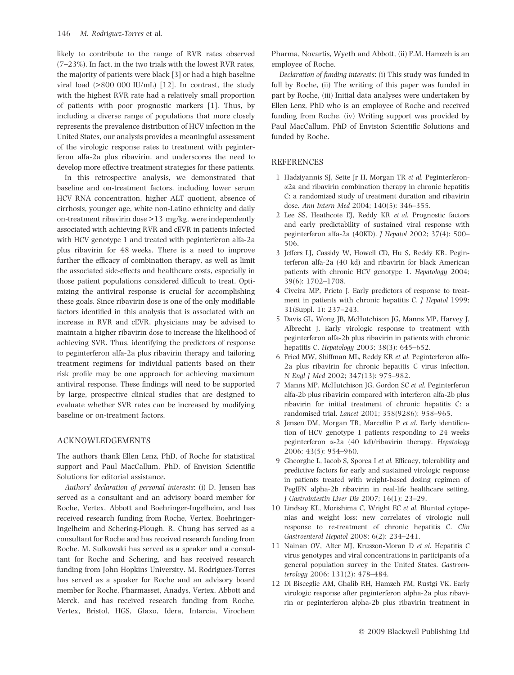likely to contribute to the range of RVR rates observed (7–23%). In fact, in the two trials with the lowest RVR rates, the majority of patients were black [3] or had a high baseline viral load (>800 000 IU/mL) [12]. In contrast, the study with the highest RVR rate had a relatively small proportion of patients with poor prognostic markers [1]. Thus, by including a diverse range of populations that more closely represents the prevalence distribution of HCV infection in the United States, our analysis provides a meaningful assessment of the virologic response rates to treatment with peginterferon alfa-2a plus ribavirin, and underscores the need to develop more effective treatment strategies for these patients.

In this retrospective analysis, we demonstrated that baseline and on-treatment factors, including lower serum HCV RNA concentration, higher ALT quotient, absence of cirrhosis, younger age, white non-Latino ethnicity and daily on-treatment ribavirin dose >13 mg/kg, were independently associated with achieving RVR and cEVR in patients infected with HCV genotype 1 and treated with peginterferon alfa-2a plus ribavirin for 48 weeks. There is a need to improve further the efficacy of combination therapy, as well as limit the associated side-effects and healthcare costs, especially in those patient populations considered difficult to treat. Optimizing the antiviral response is crucial for accomplishing these goals. Since ribavirin dose is one of the only modifiable factors identified in this analysis that is associated with an increase in RVR and cEVR, physicians may be advised to maintain a higher ribavirin dose to increase the likelihood of achieving SVR. Thus, identifying the predictors of response to peginterferon alfa-2a plus ribavirin therapy and tailoring treatment regimens for individual patients based on their risk profile may be one approach for achieving maximum antiviral response. These findings will need to be supported by large, prospective clinical studies that are designed to evaluate whether SVR rates can be increased by modifying baseline or on-treatment factors.

## ACKNOWLEDGEMENTS

The authors thank Ellen Lenz, PhD, of Roche for statistical support and Paul MacCallum, PhD, of Envision Scientific Solutions for editorial assistance.

Authors' declaration of personal interests: (i) D. Jensen has served as a consultant and an advisory board member for Roche, Vertex, Abbott and Boehringer-Ingelheim, and has received research funding from Roche, Vertex, Boehringer-Ingelheim and Schering-Plough. R. Chung has served as a consultant for Roche and has received research funding from Roche. M. Sulkowski has served as a speaker and a consultant for Roche and Schering, and has received research funding from John Hopkins University. M. Rodriguez-Torres has served as a speaker for Roche and an advisory board member for Roche, Pharmasset, Anadys, Vertex, Abbott and Merck, and has received research funding from Roche, Vertex, Bristol, HGS, Glaxo, Idera, Intarcia, Virochem Pharma, Novartis, Wyeth and Abbott, (ii) F.M. Hamzeh is an employee of Roche.

Declaration of funding interests: (i) This study was funded in full by Roche, (ii) The writing of this paper was funded in part by Roche, (iii) Initial data analyses were undertaken by Ellen Lenz, PhD who is an employee of Roche and received funding from Roche, (iv) Writing support was provided by Paul MacCallum, PhD of Envision Scientific Solutions and funded by Roche.

#### **REFERENCES**

- 1 Hadziyannis SJ, Sette Jr H, Morgan TR et al. Peginterferon- $\alpha$ 2a and ribavirin combination therapy in chronic hepatitis C: a randomized study of treatment duration and ribavirin dose. Ann Intern Med 2004; 140(5): 346–355.
- 2 Lee SS, Heathcote EJ, Reddy KR et al. Prognostic factors and early predictability of sustained viral response with peginterferon alfa-2a (40KD). J Hepatol 2002; 37(4): 500– 506.
- 3 Jeffers LJ, Cassidy W, Howell CD, Hu S, Reddy KR. Peginterferon alfa-2a (40 kd) and ribavirin for black American patients with chronic HCV genotype 1. Hepatology 2004; 39(6): 1702–1708.
- 4 Civeira MP, Prieto J. Early predictors of response to treatment in patients with chronic hepatitis C. J Hepatol 1999; 31(Suppl. 1): 237–243.
- 5 Davis GL, Wong JB, McHutchison JG, Manns MP, Harvey J, Albrecht J. Early virologic response to treatment with peginterferon alfa-2b plus ribavirin in patients with chronic hepatitis C. Hepatology 2003; 38(3): 645–652.
- 6 Fried MW, Shiffman ML, Reddy KR et al. Peginterferon alfa-2a plus ribavirin for chronic hepatitis C virus infection. N Engl J Med 2002; 347(13): 975–982.
- 7 Manns MP, McHutchison JG, Gordon SC et al. Peginterferon alfa-2b plus ribavirin compared with interferon alfa-2b plus ribavirin for initial treatment of chronic hepatitis C: a randomised trial. Lancet 2001; 358(9286): 958–965.
- 8 Jensen DM, Morgan TR, Marcellin P et al. Early identification of HCV genotype 1 patients responding to 24 weeks peginterferon a-2a (40 kd)/ribavirin therapy. Hepatology 2006; 43(5): 954–960.
- 9 Gheorghe L, Iacob S, Sporea I et al. Efficacy, tolerability and predictive factors for early and sustained virologic response in patients treated with weight-based dosing regimen of PegIFN alpha-2b ribavirin in real-life healthcare setting. J Gastrointestin Liver Dis 2007; 16(1): 23–29.
- 10 Lindsay KL, Morishima C, Wright EC et al. Blunted cytopenias and weight loss: new correlates of virologic null response to re-treatment of chronic hepatitis C. Clin Gastroenterol Hepatol 2008; 6(2): 234–241.
- 11 Nainan OV, Alter MJ, Kruszon-Moran D et al. Hepatitis C virus genotypes and viral concentrations in participants of a general population survey in the United States. Gastroenterology 2006; 131(2): 478–484.
- 12 Di Bisceglie AM, Ghalib RH, Hamzeh FM, Rustgi VK. Early virologic response after peginterferon alpha-2a plus ribavirin or peginterferon alpha-2b plus ribavirin treatment in